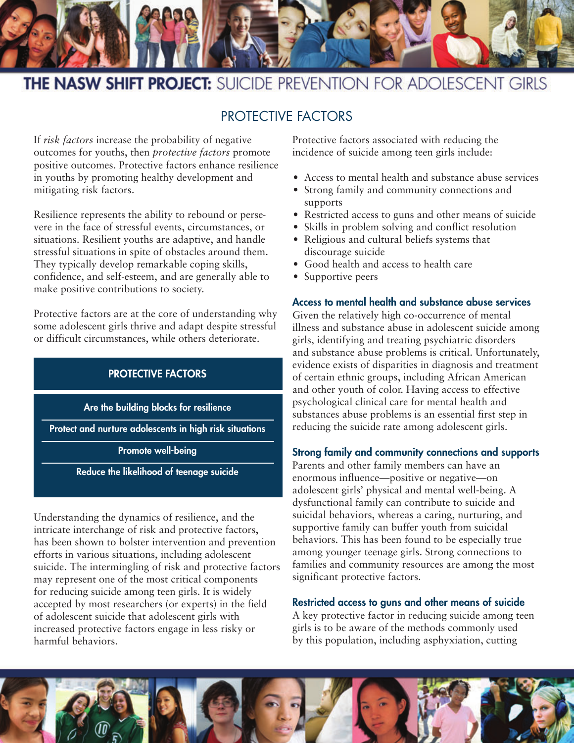

# **THE NASW SHIFT PROJECT:** SUICIDE PREVENTION FOR ADOLESCENT GIRLS

# PROTECTIVE FACTORS

If *risk factors* increase the probability of negative outcomes for youths, then *protective factors* promote positive outcomes. Protective factors enhance resilience in youths by promoting healthy development and mitigating risk factors.

Resilience represents the ability to rebound or persevere in the face of stressful events, circumstances, or situations. Resilient youths are adaptive, and handle stressful situations in spite of obstacles around them. They typically develop remarkable coping skills, confidence, and self-esteem, and are generally able to make positive contributions to society.

Protective factors are at the core of understanding why some adolescent girls thrive and adapt despite stressful or difficult circumstances, while others deteriorate.

# **PROTECTIVE FACTORS**

**Are the building blocks for resilience**

**Protect and nurture adolescents in high risk situations**

**Promote well-being**

**Reduce the likelihood of teenage suicide**

Understanding the dynamics of resilience, and the intricate interchange of risk and protective factors, has been shown to bolster intervention and prevention efforts in various situations, including adolescent suicide. The intermingling of risk and protective factors may represent one of the most critical components for reducing suicide among teen girls. It is widely accepted by most researchers (or experts) in the field of adolescent suicide that adolescent girls with increased protective factors engage in less risky or harmful behaviors.

Protective factors associated with reducing the incidence of suicide among teen girls include:

- Access to mental health and substance abuse services
- Strong family and community connections and supports
- Restricted access to guns and other means of suicide
- Skills in problem solving and conflict resolution
- Religious and cultural beliefs systems that discourage suicide
- Good health and access to health care
- Supportive peers

## **Access to mental health and substance abuse services**

Given the relatively high co-occurrence of mental illness and substance abuse in adolescent suicide among girls, identifying and treating psychiatric disorders and substance abuse problems is critical. Unfortunately, evidence exists of disparities in diagnosis and treatment of certain ethnic groups, including African American and other youth of color. Having access to effective psychological clinical care for mental health and substances abuse problems is an essential first step in reducing the suicide rate among adolescent girls.

#### **Strong family and community connections and supports**

Parents and other family members can have an enormous influence—positive or negative—on adolescent girls' physical and mental well-being. A dysfunctional family can contribute to suicide and suicidal behaviors, whereas a caring, nurturing, and supportive family can buffer youth from suicidal behaviors. This has been found to be especially true among younger teenage girls. Strong connections to families and community resources are among the most significant protective factors.

#### **Restricted access to guns and other means of suicide**

A key protective factor in reducing suicide among teen girls is to be aware of the methods commonly used by this population, including asphyxiation, cutting